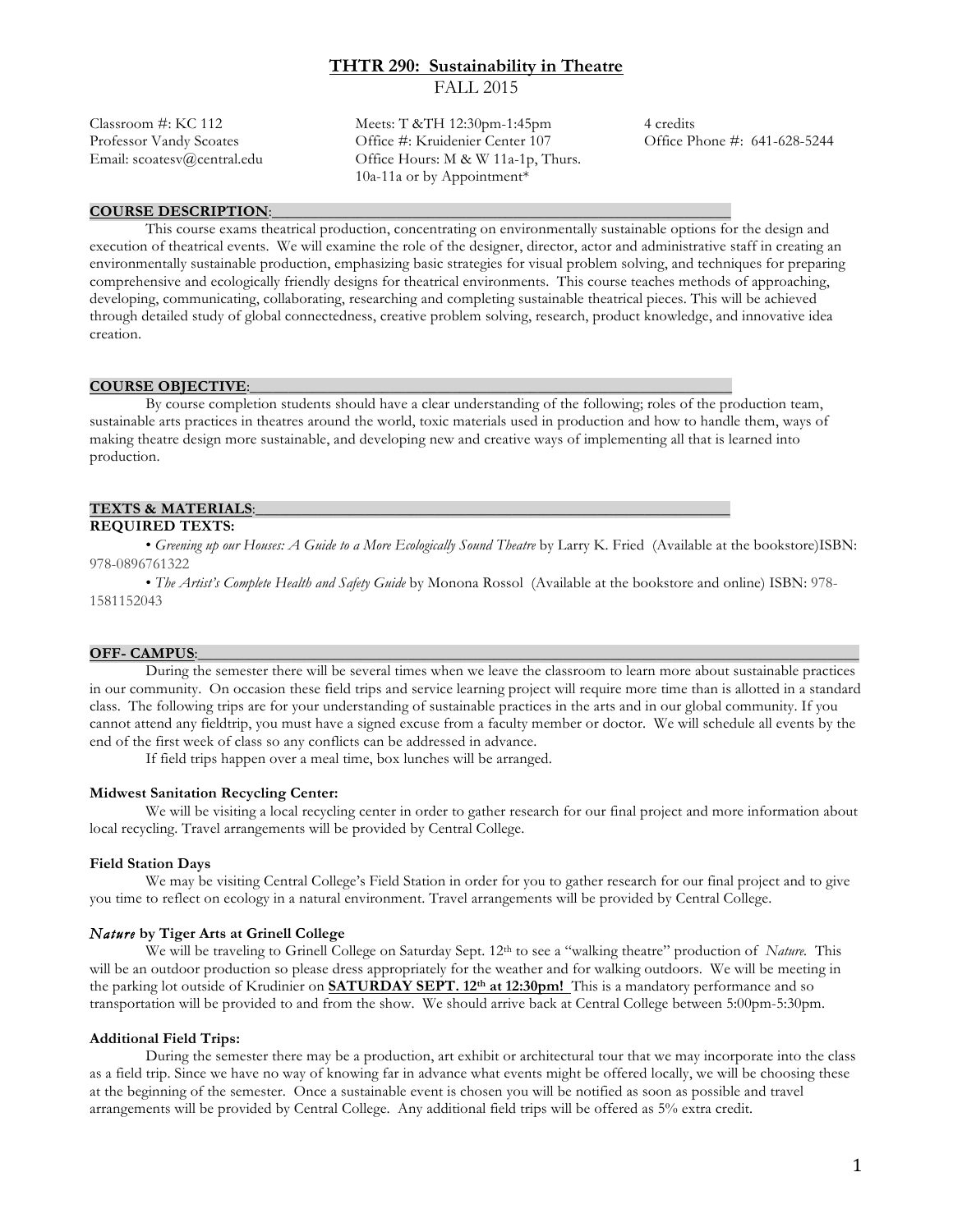# **THTR 290: Sustainability in Theatre**  FALL 2015

Classroom #: KC 112 Meets: T &TH 12:30pm-1:45pm 4 credits Professor Vandy Scoates Office #: Kruidenier Center 107 Office Phone #: 641-628-5244 Email: scoatesv@central.edu Office Hours: M & W 11a-1p, Thurs. 10a-11a or by Appointment\*

#### **COURSE DESCRIPTION:**

This course exams theatrical production, concentrating on environmentally sustainable options for the design and execution of theatrical events. We will examine the role of the designer, director, actor and administrative staff in creating an environmentally sustainable production, emphasizing basic strategies for visual problem solving, and techniques for preparing comprehensive and ecologically friendly designs for theatrical environments. This course teaches methods of approaching, developing, communicating, collaborating, researching and completing sustainable theatrical pieces. This will be achieved through detailed study of global connectedness, creative problem solving, research, product knowledge, and innovative idea creation.

#### **COURSE OBJECTIVE:**

By course completion students should have a clear understanding of the following; roles of the production team, sustainable arts practices in theatres around the world, toxic materials used in production and how to handle them, ways of making theatre design more sustainable, and developing new and creative ways of implementing all that is learned into production.

#### **TEXTS & MATERIALS:**

## **REQUIRED TEXTS:**

 • *Greening up our Houses: A Guide to a More Ecologically Sound Theatre* by Larry K. Fried (Available at the bookstore)ISBN: 978-0896761322

• *The Artist's Complete Health and Safety Guide* by Monona Rossol (Available at the bookstore and online) ISBN: 978- 1581152043

#### **OFF-** CAMPUS:

During the semester there will be several times when we leave the classroom to learn more about sustainable practices in our community. On occasion these field trips and service learning project will require more time than is allotted in a standard class. The following trips are for your understanding of sustainable practices in the arts and in our global community. If you cannot attend any fieldtrip, you must have a signed excuse from a faculty member or doctor. We will schedule all events by the end of the first week of class so any conflicts can be addressed in advance.

If field trips happen over a meal time, box lunches will be arranged.

#### **Midwest Sanitation Recycling Center:**

We will be visiting a local recycling center in order to gather research for our final project and more information about local recycling. Travel arrangements will be provided by Central College.

## **Field Station Days**

We may be visiting Central College's Field Station in order for you to gather research for our final project and to give you time to reflect on ecology in a natural environment. Travel arrangements will be provided by Central College.

## *Nature* **by Tiger Arts at Grinell College**

We will be traveling to Grinell College on Saturday Sept. 12<sup>th</sup> to see a "walking theatre" production of *Nature*. This will be an outdoor production so please dress appropriately for the weather and for walking outdoors. We will be meeting in the parking lot outside of Krudinier on **SATURDAY SEPT. 12th at 12:30pm!** This is a mandatory performance and so transportation will be provided to and from the show. We should arrive back at Central College between 5:00pm-5:30pm.

#### **Additional Field Trips:**

During the semester there may be a production, art exhibit or architectural tour that we may incorporate into the class as a field trip. Since we have no way of knowing far in advance what events might be offered locally, we will be choosing these at the beginning of the semester. Once a sustainable event is chosen you will be notified as soon as possible and travel arrangements will be provided by Central College. Any additional field trips will be offered as 5% extra credit.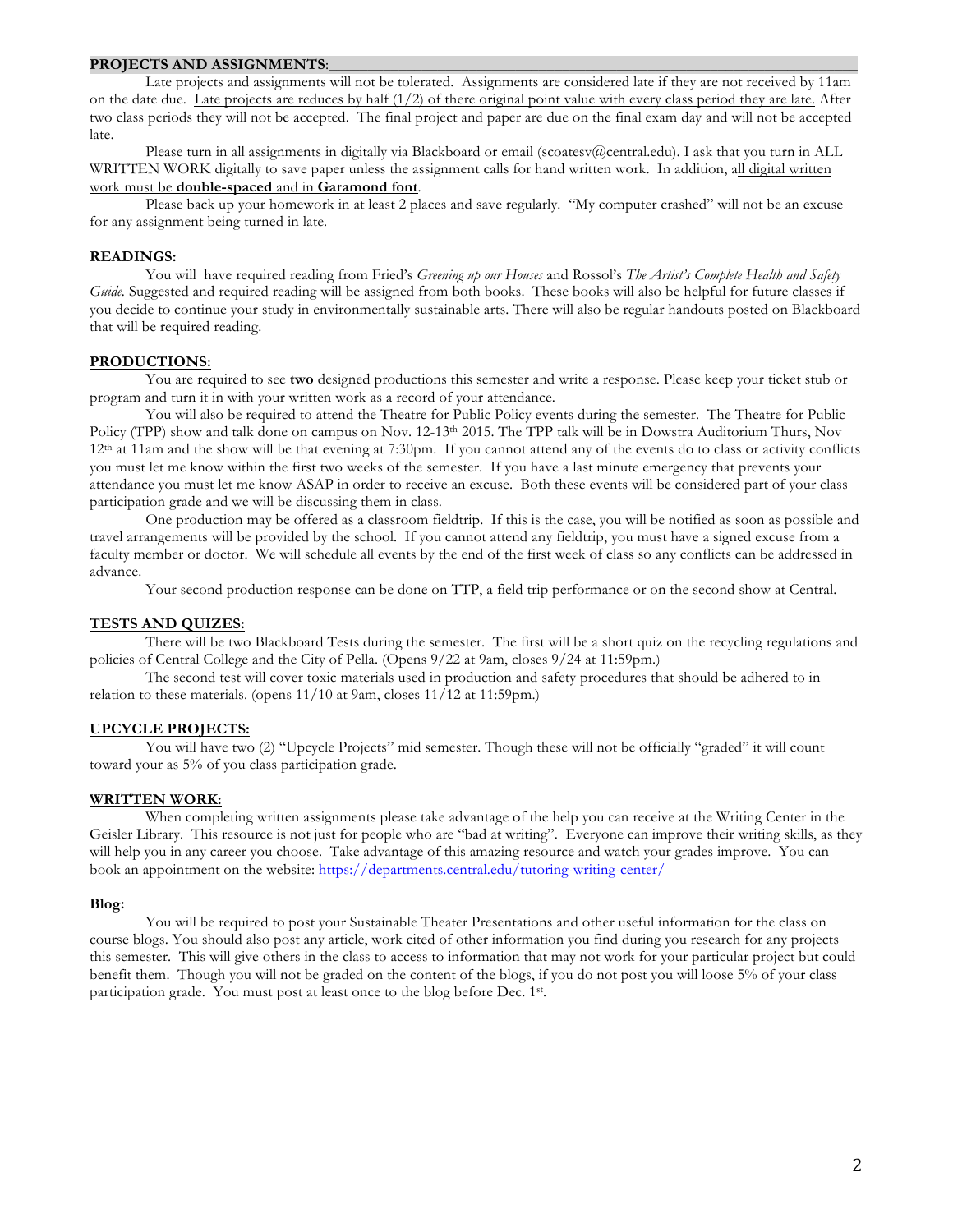#### PROJECTS AND ASSIGNMENTS:

Late projects and assignments will not be tolerated. Assignments are considered late if they are not received by 11am on the date due. Late projects are reduces by half  $(1/2)$  of there original point value with every class period they are late. After two class periods they will not be accepted. The final project and paper are due on the final exam day and will not be accepted late.

Please turn in all assignments in digitally via Blackboard or email (scoatesv@central.edu). I ask that you turn in ALL WRITTEN WORK digitally to save paper unless the assignment calls for hand written work. In addition, all digital written work must be **double-spaced** and in **Garamond font**.

Please back up your homework in at least 2 places and save regularly. "My computer crashed" will not be an excuse for any assignment being turned in late.

## **READINGS:**

You will have required reading from Fried's *Greening up our Houses* and Rossol's *The Artist's Complete Health and Safety Guide.* Suggested and required reading will be assigned from both books. These books will also be helpful for future classes if you decide to continue your study in environmentally sustainable arts. There will also be regular handouts posted on Blackboard that will be required reading.

#### **PRODUCTIONS:**

You are required to see **two** designed productions this semester and write a response. Please keep your ticket stub or program and turn it in with your written work as a record of your attendance.

You will also be required to attend the Theatre for Public Policy events during the semester. The Theatre for Public Policy (TPP) show and talk done on campus on Nov. 12-13<sup>th</sup> 2015. The TPP talk will be in Dowstra Auditorium Thurs, Nov 12th at 11am and the show will be that evening at 7:30pm. If you cannot attend any of the events do to class or activity conflicts you must let me know within the first two weeks of the semester. If you have a last minute emergency that prevents your attendance you must let me know ASAP in order to receive an excuse. Both these events will be considered part of your class participation grade and we will be discussing them in class.

One production may be offered as a classroom fieldtrip. If this is the case, you will be notified as soon as possible and travel arrangements will be provided by the school. If you cannot attend any fieldtrip, you must have a signed excuse from a faculty member or doctor. We will schedule all events by the end of the first week of class so any conflicts can be addressed in advance.

Your second production response can be done on TTP, a field trip performance or on the second show at Central.

## **TESTS AND QUIZES:**

There will be two Blackboard Tests during the semester. The first will be a short quiz on the recycling regulations and policies of Central College and the City of Pella. (Opens 9/22 at 9am, closes 9/24 at 11:59pm.)

The second test will cover toxic materials used in production and safety procedures that should be adhered to in relation to these materials. (opens 11/10 at 9am, closes 11/12 at 11:59pm.)

#### **UPCYCLE PROJECTS:**

You will have two (2) "Upcycle Projects" mid semester. Though these will not be officially "graded" it will count toward your as 5% of you class participation grade.

## **WRITTEN WORK:**

When completing written assignments please take advantage of the help you can receive at the Writing Center in the Geisler Library. This resource is not just for people who are "bad at writing". Everyone can improve their writing skills, as they will help you in any career you choose. Take advantage of this amazing resource and watch your grades improve. You can book an appointment on the website: https://departments.central.edu/tutoring-writing-center/

## **Blog:**

You will be required to post your Sustainable Theater Presentations and other useful information for the class on course blogs. You should also post any article, work cited of other information you find during you research for any projects this semester. This will give others in the class to access to information that may not work for your particular project but could benefit them. Though you will not be graded on the content of the blogs, if you do not post you will loose 5% of your class participation grade. You must post at least once to the blog before Dec. 1st.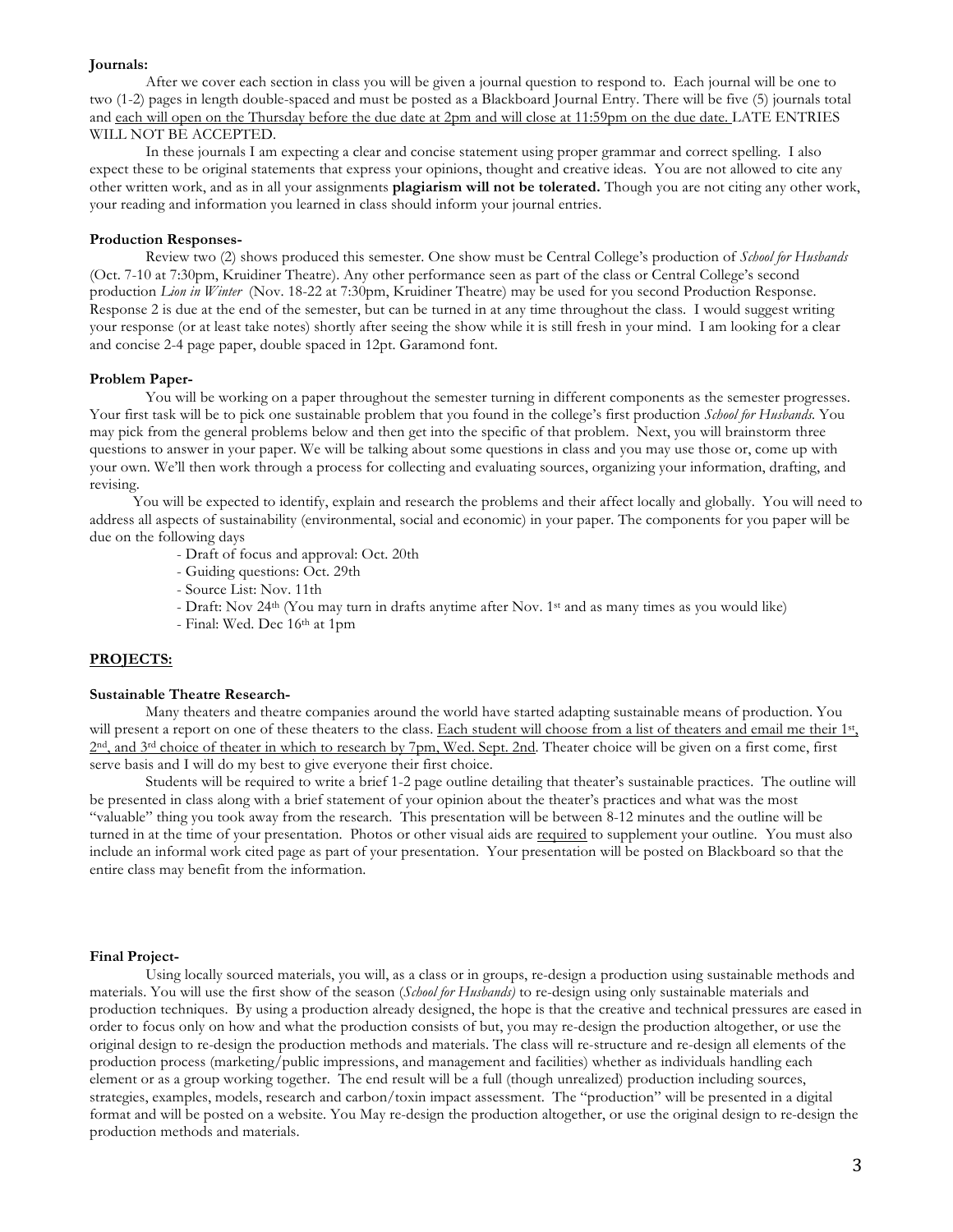#### **Journals:**

After we cover each section in class you will be given a journal question to respond to. Each journal will be one to two (1-2) pages in length double-spaced and must be posted as a Blackboard Journal Entry. There will be five (5) journals total and each will open on the Thursday before the due date at 2pm and will close at 11:59pm on the due date. LATE ENTRIES WILL NOT BE ACCEPTED.

In these journals I am expecting a clear and concise statement using proper grammar and correct spelling. I also expect these to be original statements that express your opinions, thought and creative ideas. You are not allowed to cite any other written work, and as in all your assignments **plagiarism will not be tolerated.** Though you are not citing any other work, your reading and information you learned in class should inform your journal entries.

#### **Production Responses-**

Review two (2) shows produced this semester. One show must be Central College's production of *School for Husbands* (Oct. 7-10 at 7:30pm, Kruidiner Theatre). Any other performance seen as part of the class or Central College's second production *Lion in Winter* (Nov. 18-22 at 7:30pm, Kruidiner Theatre) may be used for you second Production Response. Response 2 is due at the end of the semester, but can be turned in at any time throughout the class. I would suggest writing your response (or at least take notes) shortly after seeing the show while it is still fresh in your mind. I am looking for a clear and concise 2-4 page paper, double spaced in 12pt. Garamond font.

## **Problem Paper-**

You will be working on a paper throughout the semester turning in different components as the semester progresses. Your first task will be to pick one sustainable problem that you found in the college's first production *School for Husbands.* You may pick from the general problems below and then get into the specific of that problem. Next, you will brainstorm three questions to answer in your paper. We will be talking about some questions in class and you may use those or, come up with your own. We'll then work through a process for collecting and evaluating sources, organizing your information, drafting, and revising.

You will be expected to identify, explain and research the problems and their affect locally and globally. You will need to address all aspects of sustainability (environmental, social and economic) in your paper. The components for you paper will be due on the following days

- Draft of focus and approval: Oct. 20th
- Guiding questions: Oct. 29th
- Source List: Nov. 11th
- Draft: Nov 24th (You may turn in drafts anytime after Nov. 1st and as many times as you would like)
- Final: Wed. Dec 16th at 1pm

## **PROJECTS:**

#### **Sustainable Theatre Research-**

Many theaters and theatre companies around the world have started adapting sustainable means of production. You will present a report on one of these theaters to the class. Each student will choose from a list of theaters and email me their 1st, 2nd, and 3rd choice of theater in which to research by 7pm, Wed. Sept. 2nd. Theater choice will be given on a first come, first serve basis and I will do my best to give everyone their first choice.

Students will be required to write a brief 1-2 page outline detailing that theater's sustainable practices. The outline will be presented in class along with a brief statement of your opinion about the theater's practices and what was the most "valuable" thing you took away from the research. This presentation will be between 8-12 minutes and the outline will be turned in at the time of your presentation. Photos or other visual aids are required to supplement your outline. You must also include an informal work cited page as part of your presentation. Your presentation will be posted on Blackboard so that the entire class may benefit from the information.

#### **Final Project-**

Using locally sourced materials, you will, as a class or in groups, re-design a production using sustainable methods and materials. You will use the first show of the season (*School for Husbands)* to re-design using only sustainable materials and production techniques. By using a production already designed, the hope is that the creative and technical pressures are eased in order to focus only on how and what the production consists of but, you may re-design the production altogether, or use the original design to re-design the production methods and materials. The class will re-structure and re-design all elements of the production process (marketing/public impressions, and management and facilities) whether as individuals handling each element or as a group working together. The end result will be a full (though unrealized) production including sources, strategies, examples, models, research and carbon/toxin impact assessment. The "production" will be presented in a digital format and will be posted on a website. You May re-design the production altogether, or use the original design to re-design the production methods and materials.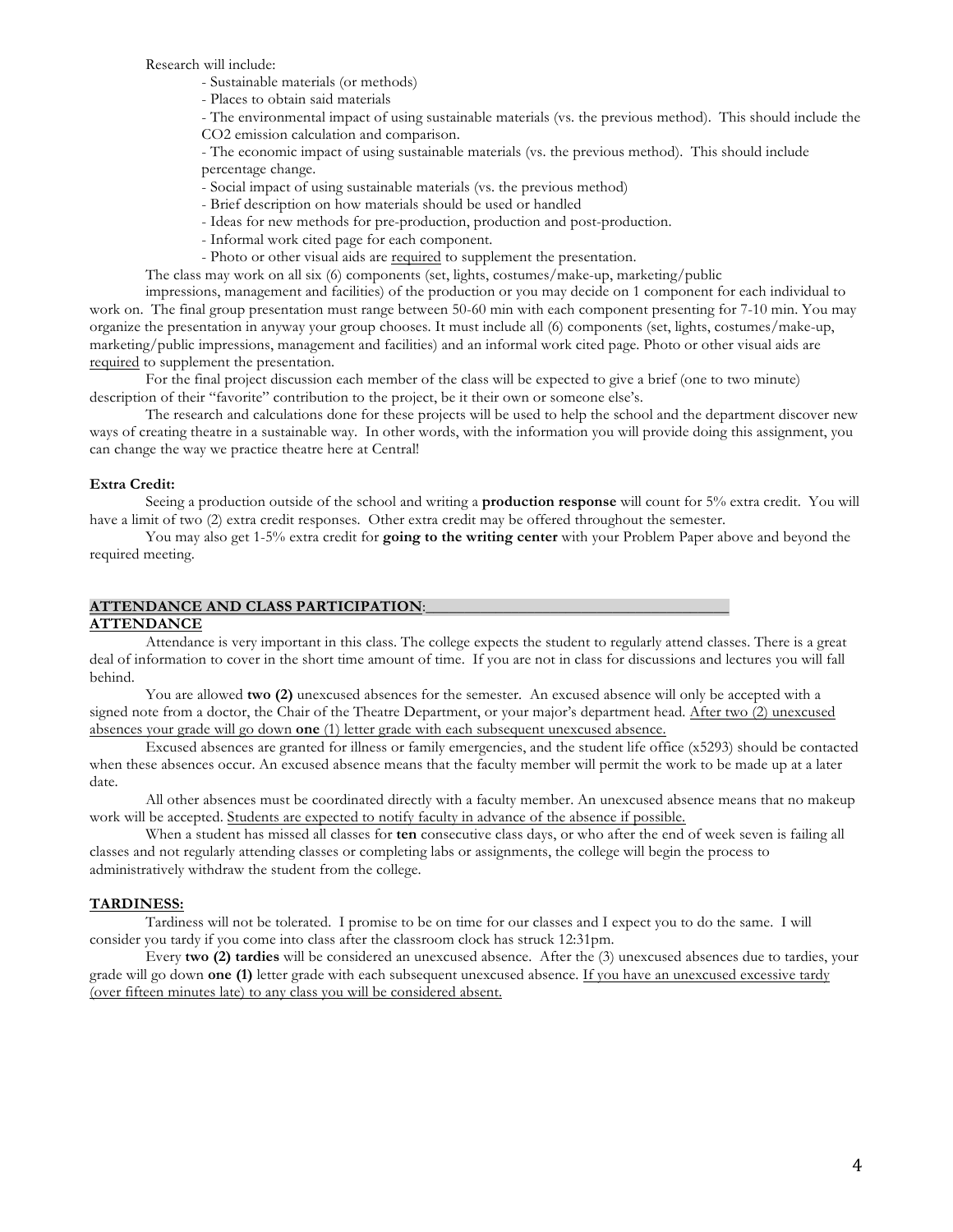Research will include:

- Sustainable materials (or methods)

- Places to obtain said materials

- The environmental impact of using sustainable materials (vs. the previous method). This should include the

CO2 emission calculation and comparison.

- The economic impact of using sustainable materials (vs. the previous method). This should include percentage change.

- Social impact of using sustainable materials (vs. the previous method)
- Brief description on how materials should be used or handled
- Ideas for new methods for pre-production, production and post-production.
- Informal work cited page for each component.
- Photo or other visual aids are required to supplement the presentation.

The class may work on all six (6) components (set, lights, costumes/make-up, marketing/public

impressions, management and facilities) of the production or you may decide on 1 component for each individual to work on. The final group presentation must range between 50-60 min with each component presenting for 7-10 min. You may organize the presentation in anyway your group chooses. It must include all (6) components (set, lights, costumes/make-up, marketing/public impressions, management and facilities) and an informal work cited page. Photo or other visual aids are required to supplement the presentation.

For the final project discussion each member of the class will be expected to give a brief (one to two minute) description of their "favorite" contribution to the project, be it their own or someone else's.

The research and calculations done for these projects will be used to help the school and the department discover new ways of creating theatre in a sustainable way. In other words, with the information you will provide doing this assignment, you can change the way we practice theatre here at Central!

## **Extra Credit:**

Seeing a production outside of the school and writing a **production response** will count for 5% extra credit. You will have a limit of two (2) extra credit responses. Other extra credit may be offered throughout the semester.

You may also get 1-5% extra credit for **going to the writing center** with your Problem Paper above and beyond the required meeting.

## **ATTENDANCE AND CLASS PARTICIPATION:**

## **ATTENDANCE**

Attendance is very important in this class. The college expects the student to regularly attend classes. There is a great deal of information to cover in the short time amount of time. If you are not in class for discussions and lectures you will fall behind.

You are allowed **two (2)** unexcused absences for the semester. An excused absence will only be accepted with a signed note from a doctor, the Chair of the Theatre Department, or your major's department head. After two (2) unexcused absences your grade will go down **one** (1) letter grade with each subsequent unexcused absence.

Excused absences are granted for illness or family emergencies, and the student life office (x5293) should be contacted when these absences occur. An excused absence means that the faculty member will permit the work to be made up at a later date.

All other absences must be coordinated directly with a faculty member. An unexcused absence means that no makeup work will be accepted. Students are expected to notify faculty in advance of the absence if possible.

When a student has missed all classes for **ten** consecutive class days, or who after the end of week seven is failing all classes and not regularly attending classes or completing labs or assignments, the college will begin the process to administratively withdraw the student from the college.

# **TARDINESS:**

Tardiness will not be tolerated. I promise to be on time for our classes and I expect you to do the same. I will consider you tardy if you come into class after the classroom clock has struck 12:31pm.

Every **two (2) tardies** will be considered an unexcused absence. After the (3) unexcused absences due to tardies, your grade will go down **one (1)** letter grade with each subsequent unexcused absence. If you have an unexcused excessive tardy (over fifteen minutes late) to any class you will be considered absent.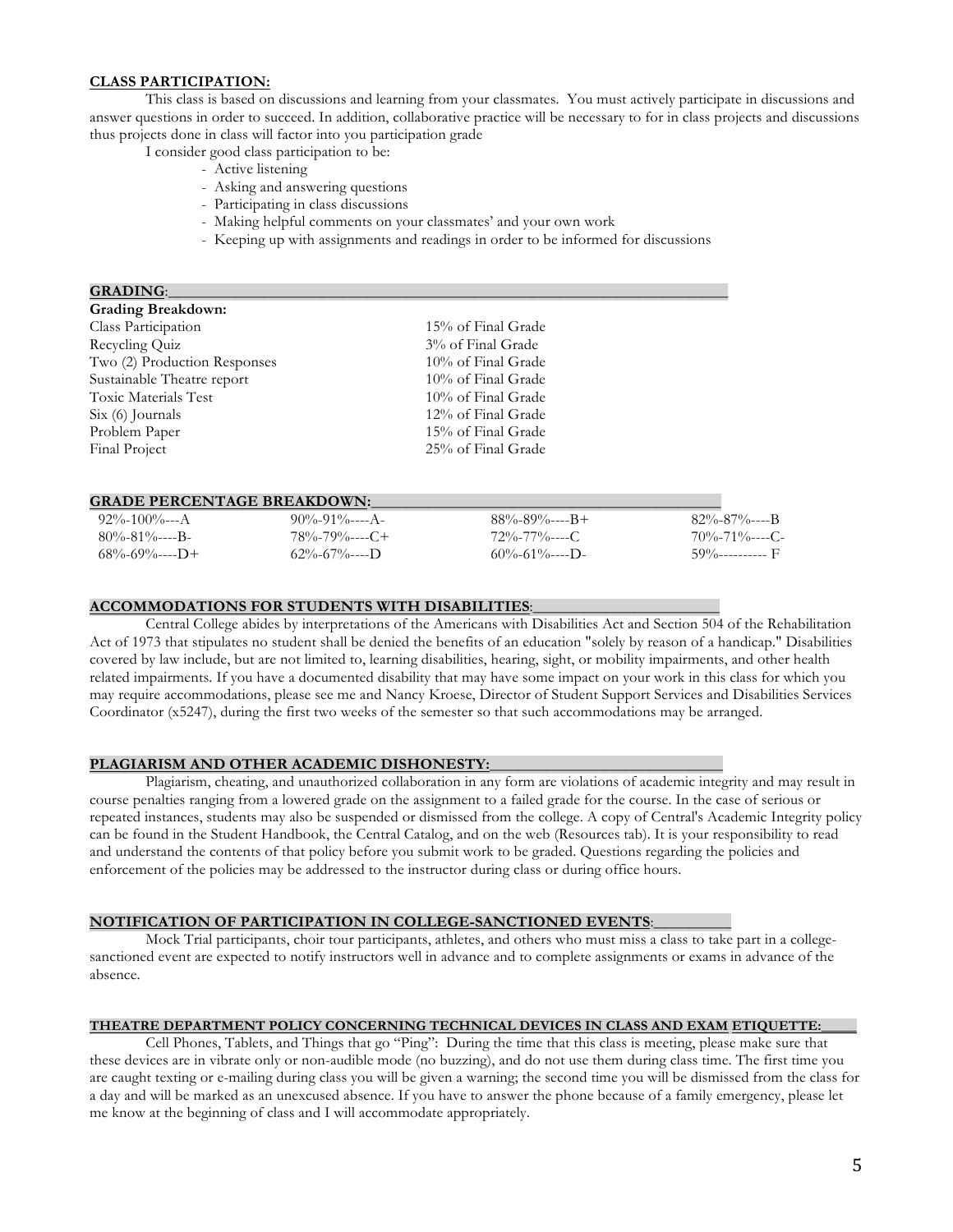# **CLASS PARTICIPATION:**

This class is based on discussions and learning from your classmates. You must actively participate in discussions and answer questions in order to succeed. In addition, collaborative practice will be necessary to for in class projects and discussions thus projects done in class will factor into you participation grade

- I consider good class participation to be:
	- Active listening
	- Asking and answering questions
	- Participating in class discussions
	- Making helpful comments on your classmates' and your own work
	- Keeping up with assignments and readings in order to be informed for discussions

| <b>GRADING:</b>              |                    |  |
|------------------------------|--------------------|--|
| <b>Grading Breakdown:</b>    |                    |  |
| Class Participation          | 15% of Final Grade |  |
| Recycling Quiz               | 3% of Final Grade  |  |
| Two (2) Production Responses | 10% of Final Grade |  |
| Sustainable Theatre report   | 10% of Final Grade |  |
| Toxic Materials Test         | 10% of Final Grade |  |
| $Six (6)$ Journals           | 12% of Final Grade |  |
| Problem Paper                | 15% of Final Grade |  |
| Final Project                | 25% of Final Grade |  |
|                              |                    |  |

#### **GRADE PERCENTAGE BREAKDOWN:**

| $92\% - 100\% - - A$   | $90\% - 91\% - - - A$   | $88\% - 89\% - - - +$  | -82%-87%----B         |
|------------------------|-------------------------|------------------------|-----------------------|
| $80\% - 81\% - - -$ B  | $78\% - 79\% - - - C +$ | $72\% - 77\% - - - C$  | $70\% - 71\% - - - C$ |
| $68\% - 69\% - - -D +$ | $62\% - 67\% - - -$ D   | $60\% - 61\% - - -$ D- | $59\%$ ------------ F |

#### **ACCOMMODATIONS FOR STUDENTS WITH DISABILITIES**:\_\_\_\_\_\_\_\_\_\_\_\_\_\_\_\_\_\_\_\_\_\_\_\_

Central College abides by interpretations of the Americans with Disabilities Act and Section 504 of the Rehabilitation Act of 1973 that stipulates no student shall be denied the benefits of an education "solely by reason of a handicap." Disabilities covered by law include, but are not limited to, learning disabilities, hearing, sight, or mobility impairments, and other health related impairments. If you have a documented disability that may have some impact on your work in this class for which you may require accommodations, please see me and Nancy Kroese, Director of Student Support Services and Disabilities Services Coordinator (x5247), during the first two weeks of the semester so that such accommodations may be arranged.

## PLAGIARISM AND OTHER ACADEMIC DISHONESTY:

Plagiarism, cheating, and unauthorized collaboration in any form are violations of academic integrity and may result in course penalties ranging from a lowered grade on the assignment to a failed grade for the course. In the case of serious or repeated instances, students may also be suspended or dismissed from the college. A copy of Central's Academic Integrity policy can be found in the Student Handbook, the Central Catalog, and on the web (Resources tab). It is your responsibility to read and understand the contents of that policy before you submit work to be graded. Questions regarding the policies and enforcement of the policies may be addressed to the instructor during class or during office hours.

#### **NOTIFICATION OF PARTICIPATION IN COLLEGE-SANCTIONED EVENTS**:\_\_\_\_\_\_\_\_\_\_

Mock Trial participants, choir tour participants, athletes, and others who must miss a class to take part in a collegesanctioned event are expected to notify instructors well in advance and to complete assignments or exams in advance of the absence.

## **THEATRE DEPARTMENT POLICY CONCERNING TECHNICAL DEVICES IN CLASS AND EXAM ETIQUETTE:\_\_\_\_\_**

Cell Phones, Tablets, and Things that go "Ping": During the time that this class is meeting, please make sure that these devices are in vibrate only or non-audible mode (no buzzing), and do not use them during class time. The first time you are caught texting or e-mailing during class you will be given a warning; the second time you will be dismissed from the class for a day and will be marked as an unexcused absence. If you have to answer the phone because of a family emergency, please let me know at the beginning of class and I will accommodate appropriately.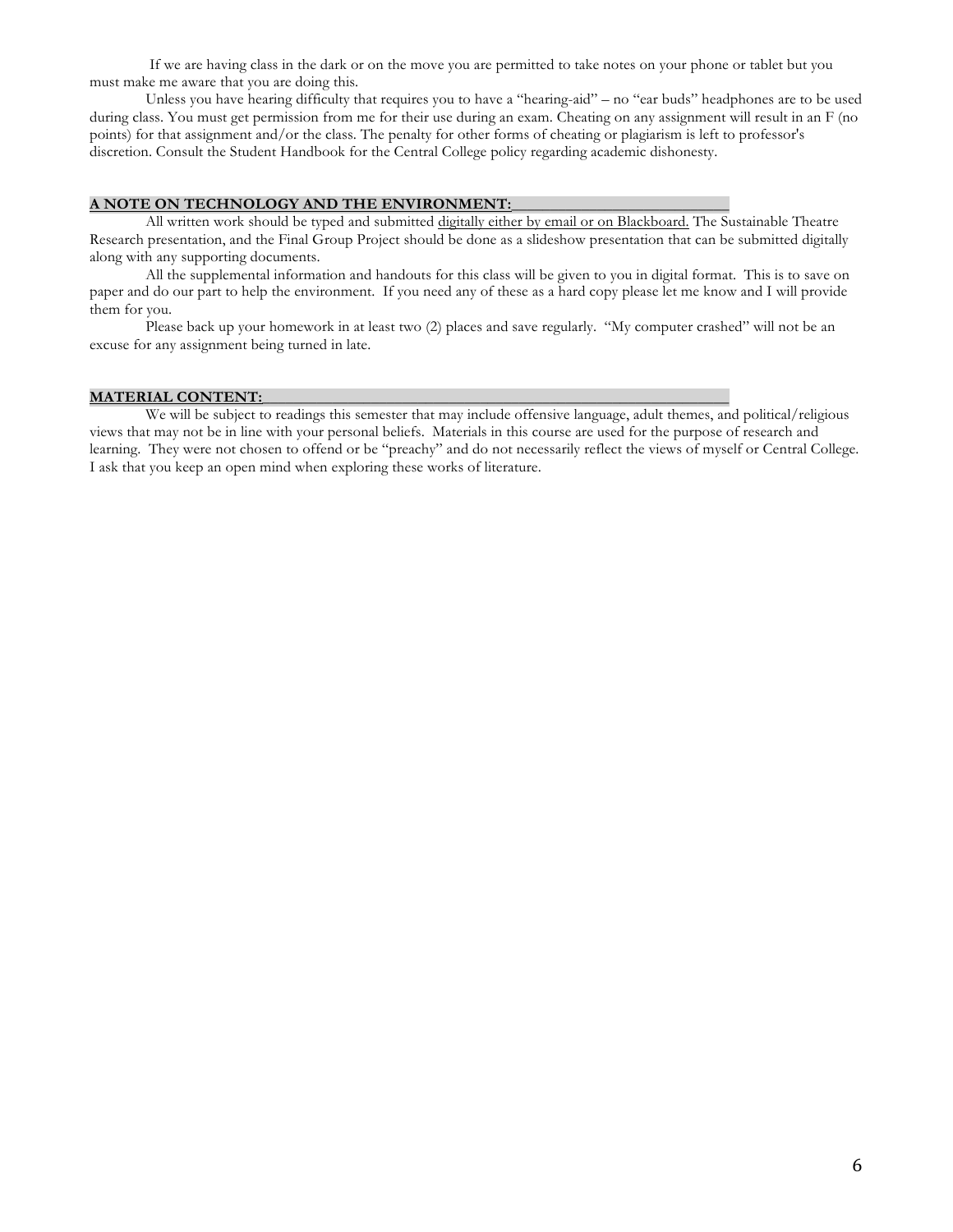If we are having class in the dark or on the move you are permitted to take notes on your phone or tablet but you must make me aware that you are doing this.

Unless you have hearing difficulty that requires you to have a "hearing-aid" – no "ear buds" headphones are to be used during class. You must get permission from me for their use during an exam. Cheating on any assignment will result in an F (no points) for that assignment and/or the class. The penalty for other forms of cheating or plagiarism is left to professor's discretion. Consult the Student Handbook for the Central College policy regarding academic dishonesty.

#### **A NOTE ON TECHNOLOGY AND THE ENVIRONMENT:**\_\_\_\_\_\_\_\_\_\_\_\_\_\_\_\_\_\_\_\_\_\_\_\_\_\_\_\_

All written work should be typed and submitted digitally either by email or on Blackboard. The Sustainable Theatre Research presentation, and the Final Group Project should be done as a slideshow presentation that can be submitted digitally along with any supporting documents.

All the supplemental information and handouts for this class will be given to you in digital format. This is to save on paper and do our part to help the environment. If you need any of these as a hard copy please let me know and I will provide them for you.

Please back up your homework in at least two (2) places and save regularly. "My computer crashed" will not be an excuse for any assignment being turned in late.

## **MATERIAL CONTENT:**

We will be subject to readings this semester that may include offensive language, adult themes, and political/religious views that may not be in line with your personal beliefs. Materials in this course are used for the purpose of research and learning. They were not chosen to offend or be "preachy" and do not necessarily reflect the views of myself or Central College. I ask that you keep an open mind when exploring these works of literature.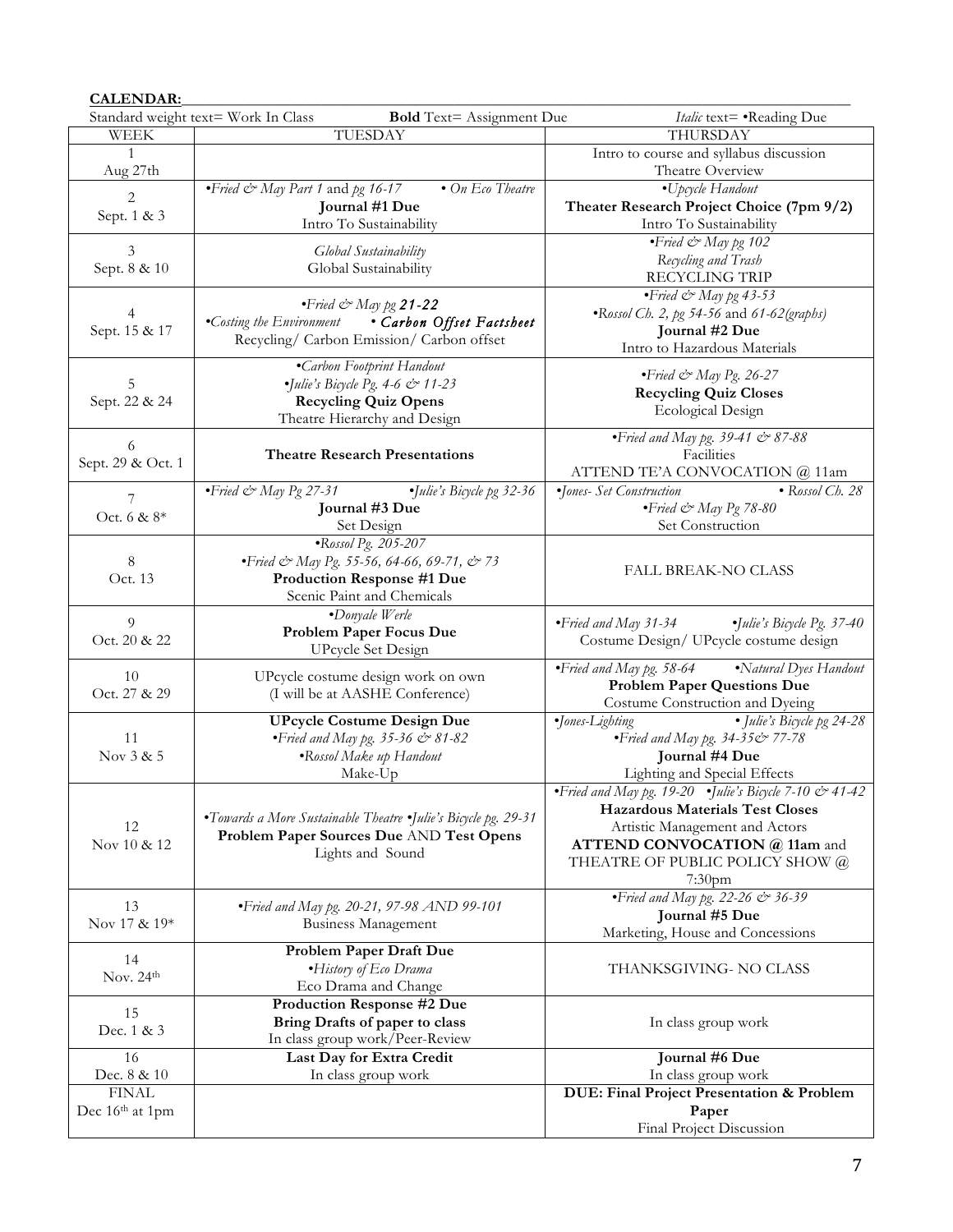# **CALENDAR:**\_\_\_\_\_\_\_\_\_\_\_\_\_\_\_\_\_\_\_\_\_\_\_\_\_\_\_\_\_\_\_\_\_\_\_\_\_\_\_\_\_\_\_\_\_\_\_\_\_\_\_\_\_\_\_\_\_\_\_\_\_\_\_\_\_\_\_\_\_\_\_\_\_\_\_\_\_\_\_\_\_\_\_\_\_\_

|                   | Standard weight text= Work In Class<br>Italic text= .Reading Due<br><b>Bold</b> Text= Assignment Due |                                                             |  |  |  |
|-------------------|------------------------------------------------------------------------------------------------------|-------------------------------------------------------------|--|--|--|
| <b>WEEK</b>       | TUESDAY                                                                                              | THURSDAY                                                    |  |  |  |
| $\mathbf{1}$      |                                                                                                      | Intro to course and syllabus discussion                     |  |  |  |
| Aug 27th          |                                                                                                      | Theatre Overview                                            |  |  |  |
|                   | • Fried & May Part 1 and pg 16-17<br>$\bullet$ On Eco Theatre                                        | •Upcycle Handout                                            |  |  |  |
| 2                 | Journal #1 Due                                                                                       | Theater Research Project Choice (7pm 9/2)                   |  |  |  |
| Sept. 1 & 3       | Intro To Sustainability                                                                              | Intro To Sustainability                                     |  |  |  |
|                   |                                                                                                      | • Fried & May pg 102                                        |  |  |  |
| 3                 | Global Sustainability                                                                                | Recycling and Trash                                         |  |  |  |
| Sept. 8 & 10      | Global Sustainability                                                                                | <b>RECYCLING TRIP</b>                                       |  |  |  |
|                   |                                                                                                      | • Fried & May pg 43-53                                      |  |  |  |
|                   | $\cdot$ Fried $\llap{\sim}$ May pg <b>21-22</b>                                                      |                                                             |  |  |  |
|                   | •Costing the Environment<br>• Carbon Offset Factsheet                                                | •Rossol Ch. 2, pg 54-56 and 61-62(graphs)                   |  |  |  |
| Sept. 15 & 17     | Recycling/ Carbon Emission/ Carbon offset                                                            | Journal #2 Due                                              |  |  |  |
|                   |                                                                                                      | Intro to Hazardous Materials                                |  |  |  |
|                   | <i>•Carbon Footprint Handout</i>                                                                     | $\bullet$ Fried & May Pg. 26-27                             |  |  |  |
| 5                 | $\bullet$ Julie's Bicycle Pg. 4-6 & 11-23                                                            | <b>Recycling Quiz Closes</b>                                |  |  |  |
| Sept. 22 & 24     | <b>Recycling Quiz Opens</b>                                                                          | <b>Ecological Design</b>                                    |  |  |  |
|                   | Theatre Hierarchy and Design                                                                         |                                                             |  |  |  |
| 6                 |                                                                                                      | • Fried and May pg. 39-41 $&$ 87-88                         |  |  |  |
| Sept. 29 & Oct. 1 | <b>Theatre Research Presentations</b>                                                                | Facilities                                                  |  |  |  |
|                   |                                                                                                      | ATTEND TE'A CONVOCATION @ 11am                              |  |  |  |
| 7                 | $\bullet$ Fried & May Pg 27-31<br>·Julie's Bicycle pg 32-36                                          | •Jones- Set Construction<br>$\bullet$ Rossol Ch. 28         |  |  |  |
| Oct. 6 & 8*       | Journal #3 Due                                                                                       | $\bullet$ Fried & May Pg 78-80                              |  |  |  |
|                   | Set Design                                                                                           | Set Construction                                            |  |  |  |
|                   | ·Rossol Pg. 205-207                                                                                  |                                                             |  |  |  |
| 8                 | • Fried & May Pg. 55-56, 64-66, 69-71, & 73                                                          | <b>FALL BREAK-NO CLASS</b>                                  |  |  |  |
| Oct. 13           | Production Response #1 Due                                                                           |                                                             |  |  |  |
|                   | Scenic Paint and Chemicals                                                                           |                                                             |  |  |  |
| 9                 | •Donyale Werle                                                                                       | •Fried and May 31-34<br>$\bullet$ Julie's Bicycle Pg. 37-40 |  |  |  |
| Oct. 20 & 22      | Problem Paper Focus Due                                                                              |                                                             |  |  |  |
|                   | <b>UPcycle Set Design</b>                                                                            | Costume Design/ UPcycle costume design                      |  |  |  |
| 10                | UPcycle costume design work on own                                                                   | •Fried and May pg. 58-64<br>•Natural Dyes Handout           |  |  |  |
| Oct. 27 & 29      | (I will be at AASHE Conference)                                                                      | <b>Problem Paper Questions Due</b>                          |  |  |  |
|                   |                                                                                                      | Costume Construction and Dyeing                             |  |  |  |
|                   | <b>UPcycle Costume Design Due</b>                                                                    | ·Jones-Lighting<br>• Julie's Bicycle pg 24-28               |  |  |  |
| 11                | • Fried and May pg. 35-36 & 81-82                                                                    | • Fried and May pg. 34-35& 77-78                            |  |  |  |
| Nov 3 & 5         | <i>•Rossol Make up Handout</i>                                                                       | Journal #4 Due                                              |  |  |  |
|                   | Make-Up                                                                                              | Lighting and Special Effects                                |  |  |  |
|                   |                                                                                                      | • Fried and May pg. 19-20 • Julie's Bicycle 7-10 & 41-42    |  |  |  |
|                   |                                                                                                      | <b>Hazardous Materials Test Closes</b>                      |  |  |  |
| 12                | •Towards a More Sustainable Theatre •Julie's Bicycle pg. 29-31                                       | Artistic Management and Actors                              |  |  |  |
| Nov 10 & 12       | Problem Paper Sources Due AND Test Opens                                                             | ATTEND CONVOCATION @ 11am and                               |  |  |  |
|                   | Lights and Sound                                                                                     | THEATRE OF PUBLIC POLICY SHOW @                             |  |  |  |
|                   |                                                                                                      | $7:30$ pm                                                   |  |  |  |
|                   |                                                                                                      | • Fried and May pg. 22-26 $\Leftrightarrow$ 36-39           |  |  |  |
| 13                | • Fried and May pg. 20-21, 97-98 AND 99-101                                                          | Journal #5 Due                                              |  |  |  |
| Nov 17 & 19*      | <b>Business Management</b>                                                                           | Marketing, House and Concessions                            |  |  |  |
|                   | Problem Paper Draft Due                                                                              |                                                             |  |  |  |
| 14                | ·History of Eco Drama                                                                                | THANKSGIVING- NO CLASS                                      |  |  |  |
| Nov. $24th$       | Eco Drama and Change                                                                                 |                                                             |  |  |  |
|                   | Production Response #2 Due                                                                           |                                                             |  |  |  |
| 15                | Bring Drafts of paper to class                                                                       | In class group work                                         |  |  |  |
| Dec. 1 & 3        | In class group work/Peer-Review                                                                      |                                                             |  |  |  |
| 16                | Last Day for Extra Credit                                                                            | Journal #6 Due                                              |  |  |  |
| Dec. 8 & 10       | In class group work                                                                                  | In class group work                                         |  |  |  |
| <b>FINAL</b>      |                                                                                                      | DUE: Final Project Presentation & Problem                   |  |  |  |
| Dec 16th at 1pm   |                                                                                                      | Paper                                                       |  |  |  |
|                   |                                                                                                      | Final Project Discussion                                    |  |  |  |